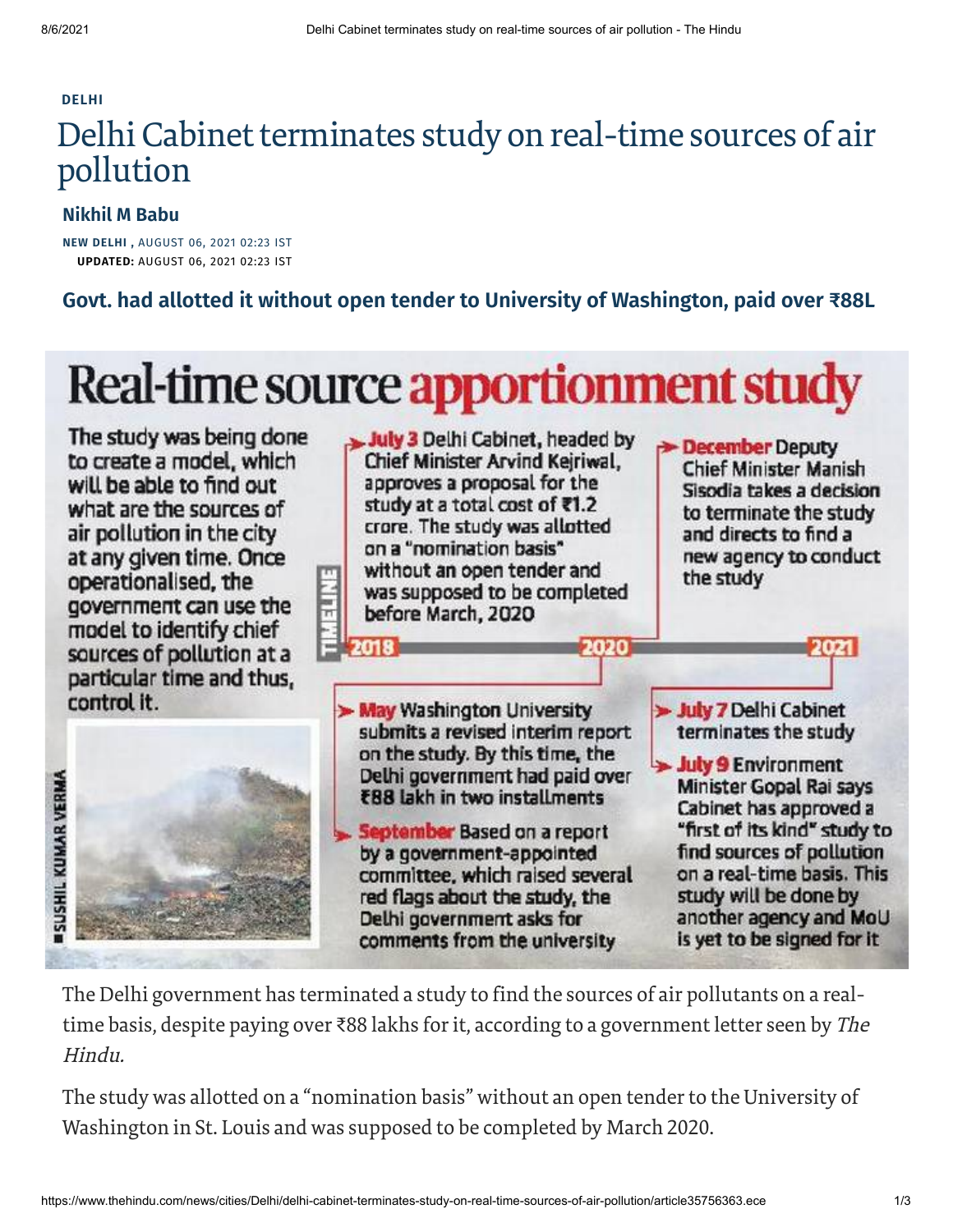#### **[DELHI](https://www.thehindu.com/news/cities/Delhi/)**

# Delhi Cabinet terminates study on real-time sources of air pollution

### **[Nikhil](https://www.thehindu.com/profile/author/Nikhil-M-Babu-58001/) M Babu**

**NEW DELHI ,** AUGUST 06, 2021 02:23 IST **UPDATED:** AUGUST 06, 2021 02:23 IST

**Govt. had allotted it without open tender to University of Washington, paid over ₹88L**

# Real-time source apportionment study

The study was being done to create a model, which will be able to find out what are the sources of air pollution in the city at any given time. Once operationalised, the government can use the model to identify chief sources of pollution at a particular time and thus. control it.





The Delhi government has terminated a study to find the sources of air pollutants on a realtime basis, despite paying over ₹88 lakhs for it, according to a government letter seen by The Hindu.

The study was allotted on a "nomination basis" without an open tender to the University of Washington in St. Louis and was supposed to be completed by March 2020.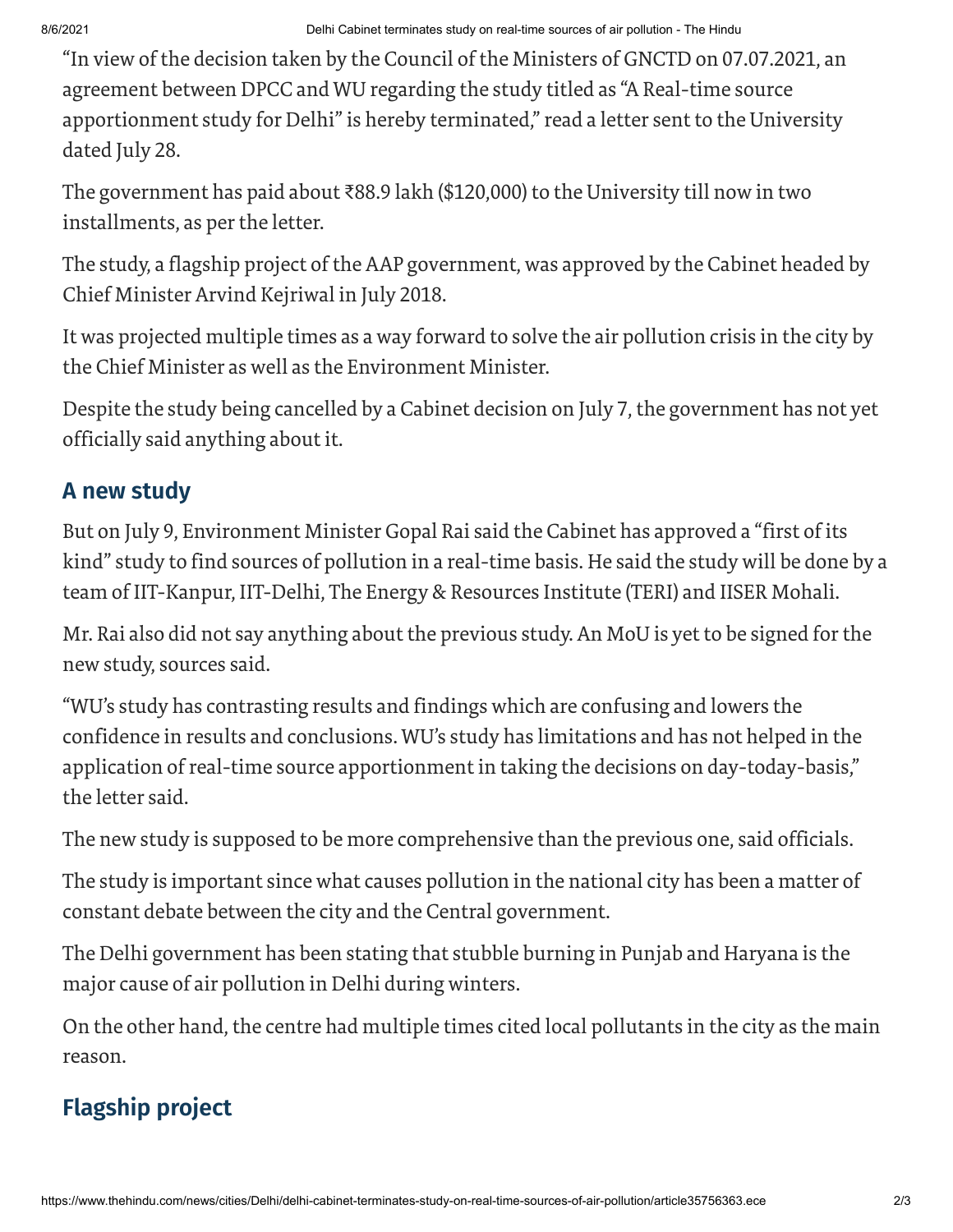"In view of the decision taken by the Council of the Ministers of GNCTD on 07.07.2021, an agreement between DPCC and WU regarding the study titled as "A Real-time source apportionment study for Delhi" is hereby terminated," read a letter sent to the University dated July 28.

The government has paid about ₹88.9 lakh (\$120,000) to the University till now in two installments, as per the letter.

The study, a flagship project of the AAP government, was approved by the Cabinet headed by Chief Minister Arvind Kejriwal in July 2018.

It was projected multiple times as a way forward to solve the air pollution crisis in the city by the Chief Minister as well as the Environment Minister.

Despite the study being cancelled by a Cabinet decision on July 7, the government has not yet officially said anything about it.

### **A new study**

But on July 9, Environment Minister Gopal Rai said the Cabinet has approved a "first of its kind" study to find sources of pollution in a real-time basis. He said the study will be done by a team of IIT-Kanpur, IIT-Delhi, The Energy & Resources Institute (TERI) and IISER Mohali.

Mr. Rai also did not say anything about the previous study. An MoU is yet to be signed forthe new study, sources said.

"WU's study has contrasting results and findings which are confusing and lowers the confidence in results and conclusions. WU's study has limitations and has not helped in the application of real-time source apportionment in taking the decisions on day-today-basis," the letter said.

The new study is supposed to be more comprehensive than the previous one, said officials.

The study is important since what causes pollution in the national city has been a matter of constant debate between the city and the Central government.

The Delhi government has been stating that stubble burning in Punjab and Haryana is the major cause of air pollution in Delhi during winters.

On the other hand, the centre had multiple times cited local pollutants in the city as the main reason.

## **Flagship project**